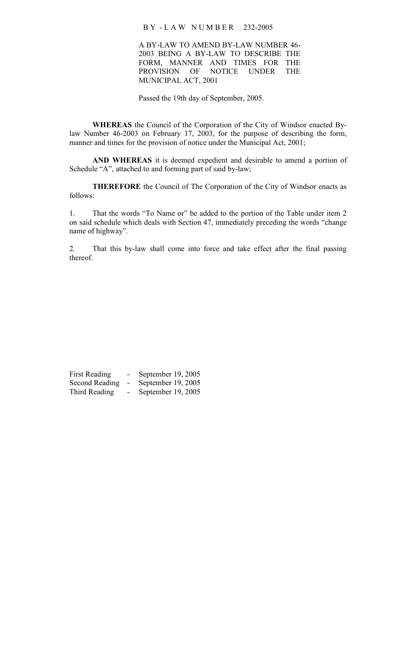B Y - L A W N U M B E R 232-2005

A BY-LAW TO AMEND BY-LAW NUMBER 46- 2003 BEING A BY-LAW TO DESCRIBE THE FORM, MANNER AND TIMES FOR THE PROVISION OF NOTICE UNDER THE MUNICIPAL ACT, 2001

Passed the 19th day of September, 2005.

**WHEREAS** the Council of the Corporation of the City of Windsor enacted Bylaw Number 46-2003 on February 17, 2003, for the purpose of describing the form, manner and times for the provision of notice under the Municipal Act, 2001;

**AND WHEREAS** it is deemed expedient and desirable to amend a portion of Schedule "A", attached to and forming part of said by-law;

**THEREFORE** the Council of The Corporation of the City of Windsor enacts as follows:

1. That the words "To Name or" be added to the portion of the Table under item 2 on said schedule which deals with Section 47, immediately preceding the words "change name of highway".

2. That this by-law shall come into force and take effect after the final passing thereof.

| First Reading  | September 19, 2005 |
|----------------|--------------------|
| Second Reading | September 19, 2005 |
| Third Reading  | September 19, 2005 |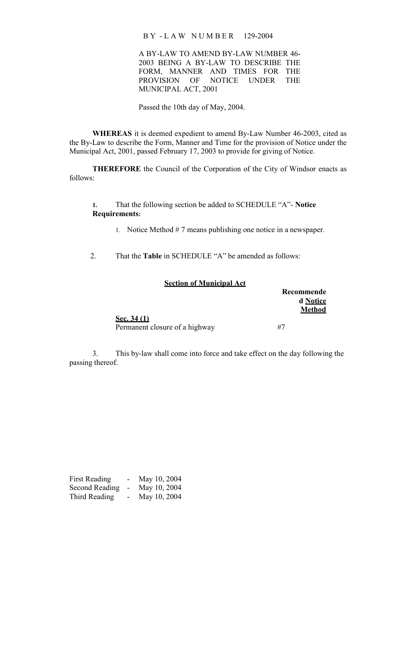B Y - L A W N U M B E R 129-2004

A BY-LAW TO AMEND BY-LAW NUMBER 46- 2003 BEING A BY-LAW TO DESCRIBE THE FORM, MANNER AND TIMES FOR THE PROVISION OF NOTICE UNDER THE MUNICIPAL ACT, 2001

Passed the 10th day of May, 2004.

**WHEREAS** it is deemed expedient to amend By-Law Number 46-2003, cited as the By-Law to describe the Form, Manner and Time for the provision of Notice under the Municipal Act, 2001, passed February 17, 2003 to provide for giving of Notice.

**THEREFORE** the Council of the Corporation of the City of Windsor enacts as follows:

**1.** That the following section be added to SCHEDULE "A"- **Notice Requirements:**

1. Notice Method # 7 means publishing one notice in a newspaper.

2. That the **Table** in SCHEDULE "A" be amended as follows:

| <b>Section of Municipal Act</b> |               |
|---------------------------------|---------------|
|                                 | Recommende    |
|                                 | d Notice      |
|                                 | <b>Method</b> |
| <u>Sec. 34 (1)</u>              |               |
| Permanent closure of a highway  | #7            |

3. This by-law shall come into force and take effect on the day following the passing thereof.

| First Reading  | - 1 | May 10, 2004 |
|----------------|-----|--------------|
| Second Reading |     | May 10, 2004 |
| Third Reading  |     | May 10, 2004 |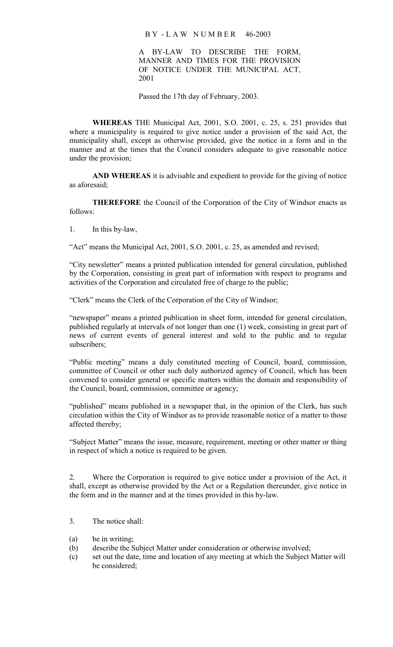### B Y - L A W N U M B E R 46-2003

A BY-LAW TO DESCRIBE THE FORM, MANNER AND TIMES FOR THE PROVISION OF NOTICE UNDER THE MUNICIPAL ACT, 2001

Passed the 17th day of February, 2003.

**WHEREAS** THE Municipal Act, 2001, S.O. 2001, c. 25, s. 251 provides that where a municipality is required to give notice under a provision of the said Act, the municipality shall, except as otherwise provided, give the notice in a form and in the manner and at the times that the Council considers adequate to give reasonable notice under the provision;

**AND WHEREAS** it is advisable and expedient to provide for the giving of notice as aforesaid;

**THEREFORE** the Council of the Corporation of the City of Windsor enacts as follows:

1. In this by-law,

"Act" means the Municipal Act, 2001, S.O. 2001, c. 25, as amended and revised;

"City newsletter" means a printed publication intended for general circulation, published by the Corporation, consisting in great part of information with respect to programs and activities of the Corporation and circulated free of charge to the public;

"Clerk" means the Clerk of the Corporation of the City of Windsor;

"newspaper" means a printed publication in sheet form, intended for general circulation, published regularly at intervals of not longer than one (1) week, consisting in great part of news of current events of general interest and sold to the public and to regular subscribers;

"Public meeting" means a duly constituted meeting of Council, board, commission, committee of Council or other such duly authorized agency of Council, which has been convened to consider general or specific matters within the domain and responsibility of the Council, board, commission, committee or agency;

"published" means published in a newspaper that, in the opinion of the Clerk, has such circulation within the City of Windsor as to provide reasonable notice of a matter to those affected thereby;

"Subject Matter" means the issue, measure, requirement, meeting or other matter or thing in respect of which a notice is required to be given.

2. Where the Corporation is required to give notice under a provision of the Act, it shall, except as otherwise provided by the Act or a Regulation thereunder, give notice in the form and in the manner and at the times provided in this by-law.

- 3. The notice shall:
- (a) be in writing;
- (b) describe the Subject Matter under consideration or otherwise involved;
- (c) set out the date, time and location of any meeting at which the Subject Matter will be considered;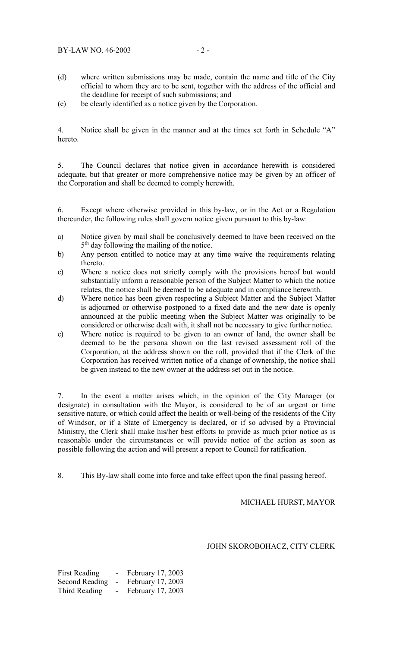- (d) where written submissions may be made, contain the name and title of the City official to whom they are to be sent, together with the address of the official and the deadline for receipt of such submissions; and
- (e) be clearly identified as a notice given by the Corporation.

4. Notice shall be given in the manner and at the times set forth in Schedule "A" hereto.

5. The Council declares that notice given in accordance herewith is considered adequate, but that greater or more comprehensive notice may be given by an officer of the Corporation and shall be deemed to comply herewith.

6. Except where otherwise provided in this by-law, or in the Act or a Regulation thereunder, the following rules shall govern notice given pursuant to this by-law:

- a) Notice given by mail shall be conclusively deemed to have been received on the 5<sup>th</sup> day following the mailing of the notice.
- b) Any person entitled to notice may at any time waive the requirements relating thereto.
- c) Where a notice does not strictly comply with the provisions hereof but would substantially inform a reasonable person of the Subject Matter to which the notice relates, the notice shall be deemed to be adequate and in compliance herewith.
- d) Where notice has been given respecting a Subject Matter and the Subject Matter is adjourned or otherwise postponed to a fixed date and the new date is openly announced at the public meeting when the Subject Matter was originally to be considered or otherwise dealt with, it shall not be necessary to give further notice.
- e) Where notice is required to be given to an owner of land, the owner shall be deemed to be the persona shown on the last revised assessment roll of the Corporation, at the address shown on the roll, provided that if the Clerk of the Corporation has received written notice of a change of ownership, the notice shall be given instead to the new owner at the address set out in the notice.

7. In the event a matter arises which, in the opinion of the City Manager (or designate) in consultation with the Mayor, is considered to be of an urgent or time sensitive nature, or which could affect the health or well-being of the residents of the City of Windsor, or if a State of Emergency is declared, or if so advised by a Provincial Ministry, the Clerk shall make his/her best efforts to provide as much prior notice as is reasonable under the circumstances or will provide notice of the action as soon as possible following the action and will present a report to Council for ratification.

8. This By-law shall come into force and take effect upon the final passing hereof.

### MICHAEL HURST, MAYOR

#### JOHN SKOROBOHACZ, CITY CLERK

First Reading - February 17, 2003 Second Reading - February 17, 2003 Third Reading - February 17, 2003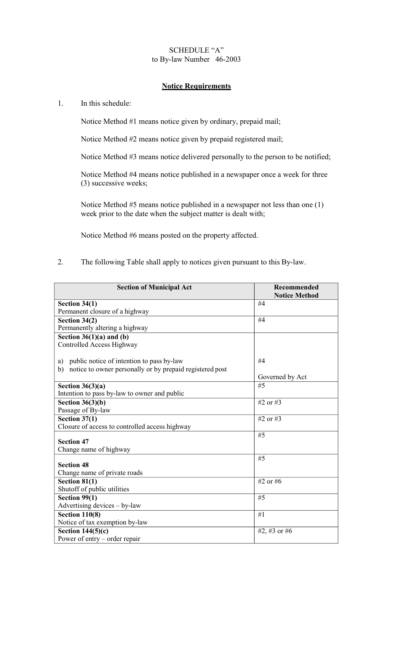# SCHEDULE "A" to By-law Number 46-2003

## **Notice Requirements**

## 1. In this schedule:

Notice Method #1 means notice given by ordinary, prepaid mail;

Notice Method #2 means notice given by prepaid registered mail;

Notice Method #3 means notice delivered personally to the person to be notified;

Notice Method #4 means notice published in a newspaper once a week for three (3) successive weeks;

Notice Method #5 means notice published in a newspaper not less than one (1) week prior to the date when the subject matter is dealt with;

Notice Method #6 means posted on the property affected.

2. The following Table shall apply to notices given pursuant to this By-law.

| <b>Section of Municipal Act</b>                                | Recommended<br><b>Notice Method</b> |
|----------------------------------------------------------------|-------------------------------------|
|                                                                |                                     |
| Section $34(1)$                                                | #4                                  |
| Permanent closure of a highway                                 |                                     |
| Section 34(2)                                                  | #4                                  |
| Permanently altering a highway                                 |                                     |
| Section $36(1)(a)$ and (b)                                     |                                     |
| Controlled Access Highway                                      |                                     |
|                                                                |                                     |
| public notice of intention to pass by-law<br>a)                | #4                                  |
| notice to owner personally or by prepaid registered post<br>b) |                                     |
|                                                                | Governed by Act                     |
| Section $36(3)(a)$                                             | #5                                  |
| Intention to pass by-law to owner and public                   |                                     |
| Section $36(3)(b)$                                             | #2 or #3                            |
| Passage of By-law                                              |                                     |
| Section $37(1)$                                                | #2 or #3                            |
| Closure of access to controlled access highway                 |                                     |
|                                                                | #5                                  |
| <b>Section 47</b>                                              |                                     |
| Change name of highway                                         |                                     |
|                                                                | #5                                  |
| <b>Section 48</b>                                              |                                     |
| Change name of private roads                                   |                                     |
| Section $81(1)$                                                | #2 or #6                            |
| Shutoff of public utilities                                    |                                     |
| Section 99(1)                                                  | #5                                  |
| Advertising devices - by-law                                   |                                     |
| <b>Section 110(8)</b>                                          | #1                                  |
| Notice of tax exemption by-law                                 |                                     |
| Section $144(5)(c)$                                            | #2, #3 or #6                        |
| Power of entry – order repair                                  |                                     |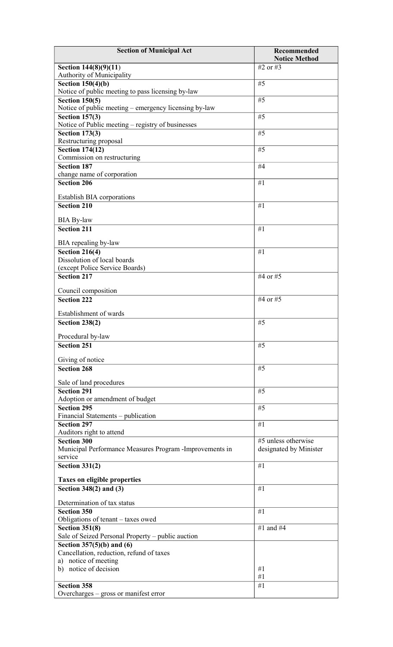| <b>Section of Municipal Act</b>                                          | <b>Recommended</b>     |
|--------------------------------------------------------------------------|------------------------|
|                                                                          | <b>Notice Method</b>   |
| Section 144(8)(9)(11)                                                    | #2 or #3               |
| Authority of Municipality                                                |                        |
| Section $150(4)(b)$<br>Notice of public meeting to pass licensing by-law | #5                     |
| Section $150(5)$                                                         | #5                     |
| Notice of public meeting - emergency licensing by-law                    |                        |
| <b>Section 157(3)</b>                                                    | #5                     |
| Notice of Public meeting - registry of businesses                        |                        |
| <b>Section 173(3)</b>                                                    | #5                     |
| Restructuring proposal                                                   |                        |
| <b>Section 174(12)</b>                                                   | #5                     |
| Commission on restructuring                                              |                        |
| <b>Section 187</b>                                                       | #4                     |
| change name of corporation                                               |                        |
| Section 206                                                              | #1                     |
| Establish BIA corporations                                               |                        |
| <b>Section 210</b>                                                       | #1                     |
|                                                                          |                        |
| <b>BIA By-law</b>                                                        |                        |
| Section 211                                                              | #1                     |
| BIA repealing by-law                                                     |                        |
| <b>Section 216(4)</b>                                                    | #1                     |
| Dissolution of local boards                                              |                        |
| (except Police Service Boards)                                           |                        |
| <b>Section 217</b>                                                       | #4 or #5               |
|                                                                          |                        |
| Council composition                                                      |                        |
| <b>Section 222</b>                                                       | #4 or #5               |
| Establishment of wards                                                   |                        |
| <b>Section 238(2)</b>                                                    | #5                     |
|                                                                          |                        |
| Procedural by-law                                                        |                        |
| <b>Section 251</b>                                                       | #5                     |
| Giving of notice                                                         |                        |
| <b>Section 268</b>                                                       | #5                     |
|                                                                          |                        |
| Sale of land procedures                                                  |                        |
| <b>Section 291</b>                                                       | #5                     |
| Adoption or amendment of budget                                          |                        |
| <b>Section 295</b>                                                       | #5                     |
| Financial Statements - publication<br><b>Section 297</b>                 | #1                     |
| Auditors right to attend                                                 |                        |
| <b>Section 300</b>                                                       | #5 unless otherwise    |
| Municipal Performance Measures Program -Improvements in                  | designated by Minister |
| service                                                                  |                        |
| Section $331(2)$                                                         | #1                     |
|                                                                          |                        |
| <b>Taxes on eligible properties</b>                                      |                        |
| Section $348(2)$ and $(3)$                                               | #1                     |
| Determination of tax status                                              |                        |
| <b>Section 350</b>                                                       | #1                     |
| Obligations of tenant – taxes owed                                       |                        |
| <b>Section 351(8)</b>                                                    | #1 and #4              |
| Sale of Seized Personal Property – public auction                        |                        |
| Section $357(5)(b)$ and $(6)$                                            |                        |
| Cancellation, reduction, refund of taxes                                 |                        |
| a) notice of meeting                                                     |                        |
| b) notice of decision                                                    | #1<br>#1               |
| <b>Section 358</b>                                                       | #1                     |
| Overcharges – gross or manifest error                                    |                        |
|                                                                          |                        |